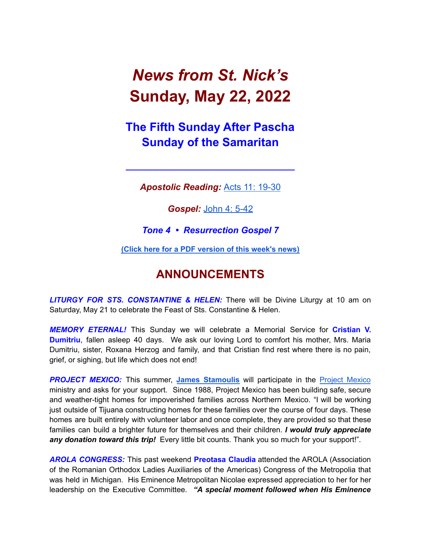# *News from St. Nick's* **Sunday, May 22, 2022**

# **The Fifth Sunday After Pascha Sunday of the Samaritan**

*Apostolic Reading:* Acts 11: [19-30](https://biblia.com/bible/esv/acts/11/19-30)

**\_\_\_\_\_\_\_\_\_\_\_\_\_\_\_\_\_\_\_\_\_\_\_\_\_\_\_\_\_\_\_\_\_\_**

*Gospel:* [John](https://biblia.com/bible/esv/john/4/5-42) 4: 5-42

*Tone 4 • Resurrection Gospel 7*

**(Click here for a PDF [version](http://www.stnicholaschurch.org/Images/News/2022-05-22.pdf) of this week's news)**

## **ANNOUNCEMENTS**

*LITURGY FOR STS. CONSTANTINE & HELEN:* There will be Divine Liturgy at 10 am on Saturday, May 21 to celebrate the Feast of Sts. Constantine & Helen.

*MEMORY ETERNAL!* This Sunday we will celebrate a Memorial Service for **Cristian V. Dumitriu**, fallen asleep 40 days. We ask our loving Lord to comfort his mother, Mrs. Maria Dumitriu, sister, Roxana Herzog and family, and that Cristian find rest where there is no pain, grief, or sighing, but life which does not end!

**PROJECT MEXICO:** This summer, James [Stamoulis](mailto: jamesstamoulis@icloud.com) will participate in the Project [Mexico](https://www.projectmexico.org/) ministry and asks for your support. Since 1988, Project Mexico has been building safe, secure and weather-tight homes for impoverished families across Northern Mexico. "I will be working just outside of Tijuana constructing homes for these families over the course of four days. These homes are built entirely with volunteer labor and once complete, they are provided so that these families can build a brighter future for themselves and their children. *I would truly appreciate any donation toward this trip!* Every little bit counts. Thank you so much for your support!".

*AROLA CONGRESS:* This past weekend **Preotasa Claudia** attended the AROLA (Association of the Romanian Orthodox Ladies Auxiliaries of the Americas) Congress of the Metropolia that was held in Michigan. His Eminence Metropolitan Nicolae expressed appreciation to her for her leadership on the Executive Committee. *"A special moment followed when His Eminence*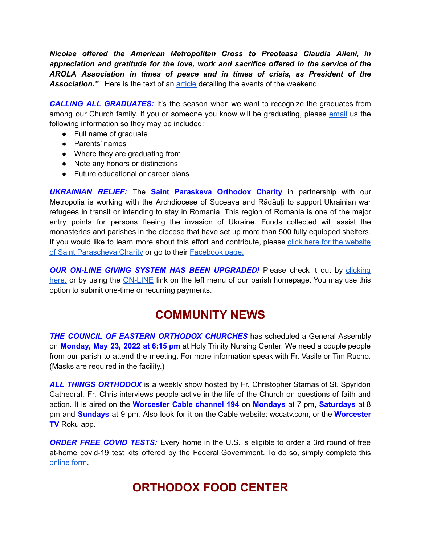*Nicolae offered the American Metropolitan Cross to Preoteasa Claudia Aileni, in appreciation and gratitude for the love, work and sacrifice offered in the service of the AROLA Association in times of peace and in times of crisis, as President of the Association."* Here is the text of an [article](https://www.facebook.com/717451671787993/posts/1883851648481317) detailing the events of the weekend.

*CALLING ALL GRADUATES:* It's the season when we want to recognize the graduates from among our Church family. If you or someone you know will be graduating, please [email](mailto:tjrucho@gmail.com) us the following information so they may be included:

- Full name of graduate
- Parents' names
- Where they are graduating from
- Note any honors or distinctions
- Future educational or career plans

*UKRAINIAN RELIEF:* The **Saint Paraskeva Orthodox Charity** in partnership with our Metropolia is working with the Archdiocese of Suceava and Rădăuți to support Ukrainian war refugees in transit or intending to stay in Romania. This region of Romania is one of the major entry points for persons fleeing the invasion of Ukraine. Funds collected will assist the monasteries and parishes in the diocese that have set up more than 500 fully equipped shelters. If you would like to learn more about this effort and contribute, please click here for the [website](https://www.spcharity.org/) of Saint [Parascheva](https://www.spcharity.org/) Charity or go to their **[Facebook](https://www.facebook.com/donate/263166699318376/4935598499809637/) page.** 

*OUR ON-LINE GIVING SYSTEM HAS BEEN UPGRADED!* Please check it out by [clicking](https://giving.parishsoft.com/app/giving/stnicks) [here,](https://giving.parishsoft.com/app/giving/stnicks) or by using the [ON-LINE](http://www.stnicholaschurch.org) link on the left menu of our parish homepage. You may use this option to submit one-time or recurring payments.

## **COMMUNITY NEWS**

*THE COUNCIL OF EASTERN ORTHODOX CHURCHES* has scheduled a General Assembly on **Monday, May 23, 2022 at 6:15 pm** at Holy Trinity Nursing Center. We need a couple people from our parish to attend the meeting. For more information speak with Fr. Vasile or Tim Rucho. (Masks are required in the facility.)

*ALL THINGS ORTHODOX* is a weekly show hosted by Fr. Christopher Stamas of St. Spyridon Cathedral. Fr. Chris interviews people active in the life of the Church on questions of faith and action. It is aired on the **Worcester Cable channel 194** on **Mondays** at 7 pm, **Saturdays** at 8 pm and **Sundays** at 9 pm. Also look for it on the Cable website: wccatv.com, or the **Worcester TV** Roku app.

*ORDER FREE COVID TESTS:* Every home in the U.S. is eligible to order a 3rd round of free at-home covid-19 test kits offered by the Federal Government. To do so, simply complete this [online](https://www.covid.gov/tests) form.

## **ORTHODOX FOOD CENTER**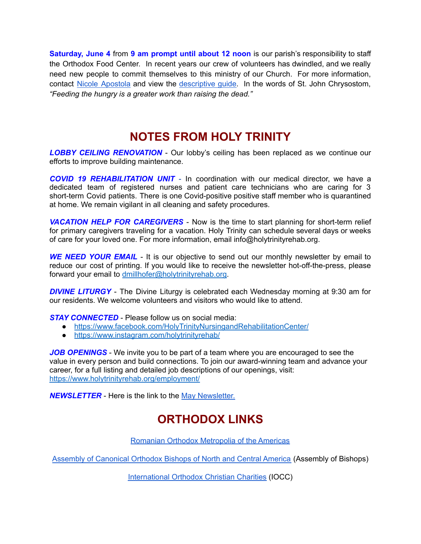**Saturday, June 4** from **9 am prompt until about 12 noon** is our parish's responsibility to staff the Orthodox Food Center. In recent years our crew of volunteers has dwindled, and we really need new people to commit themselves to this ministry of our Church. For more information, contact Nicole [Apostola](mailto:nicole.apostola@gmail.com) and view the [descriptive](https://docs.google.com/document/d/1a9XcmpPsPN1nCSq0u1Olq-IZViu0OQRBRDu0lVlCCFE/edit) guide. In the words of St. John Chrysostom, *"Feeding the hungry is a greater work than raising the dead."*

#### **NOTES FROM HOLY TRINITY**

*LOBBY CEILING RENOVATION* - Our lobby's ceiling has been replaced as we continue our efforts to improve building maintenance.

*COVID 19 REHABILITATION UNIT* - In coordination with our medical director, we have a dedicated team of registered nurses and patient care technicians who are caring for 3 short-term Covid patients. There is one Covid-positive positive staff member who is quarantined at home. We remain vigilant in all cleaning and safety procedures.

*VACATION HELP FOR CAREGIVERS* - Now is the time to start planning for short-term relief for primary caregivers traveling for a vacation. Holy Trinity can schedule several days or weeks of care for your loved one. For more information, email info@holytrinityrehab.org.

**WE NEED YOUR EMAIL** - It is our objective to send out our monthly newsletter by email to reduce our cost of printing. If you would like to receive the newsletter hot-off-the-press, please forward your email to [dmillhofer@holytrinityrehab.org.](mailto:dmillhofer@holytrinityrehab.org)

*DIVINE LITURGY* - The Divine Liturgy is celebrated each Wednesday morning at 9:30 am for our residents. We welcome volunteers and visitors who would like to attend.

*STAY CONNECTED* - Please follow us on social media:

- <https://www.facebook.com/HolyTrinityNursingandRehabilitationCenter/>
- <https://www.instagram.com/holytrinityrehab/>

*JOB OPENINGS* - We invite you to be part of a team where you are encouraged to see the value in every person and build connections. To join our award-winning team and advance your career, for a full listing and detailed job descriptions of our openings, visit: <https://www.holytrinityrehab.org/employment/>

*NEWSLETTER* - Here is the link to the May [Newsletter.](https://www.holytrinityrehab.org/wp-content/uploads/sites/356/2022/04/newsletter-may2022.pdf)

# **ORTHODOX LINKS**

Romanian Orthodox [Metropolia](http://www.mitropolia.us/index.php/en/) of the Americas

Assembly of [Canonical](http://www.assemblyofbishops.org/) Orthodox Bishops of North and Central America (Assembly of Bishops)

[International](http://www.iocc.org/) Orthodox Christian Charities (IOCC)